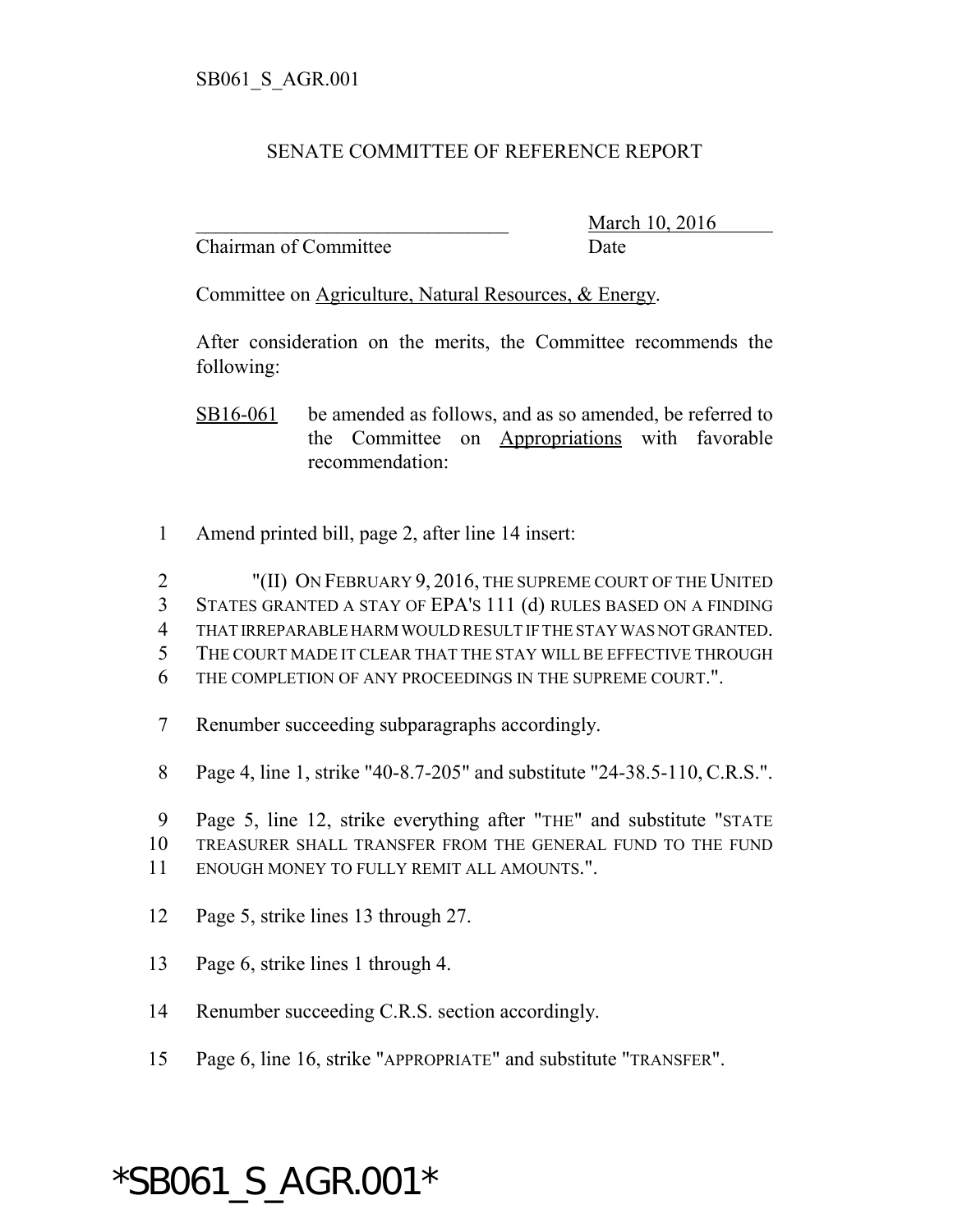## SENATE COMMITTEE OF REFERENCE REPORT

Chairman of Committee Date

March 10, 2016

Committee on Agriculture, Natural Resources, & Energy.

After consideration on the merits, the Committee recommends the following:

SB16-061 be amended as follows, and as so amended, be referred to the Committee on Appropriations with favorable recommendation:

1 Amend printed bill, page 2, after line 14 insert:

2 "(II) ON FEBRUARY 9, 2016, THE SUPREME COURT OF THE UNITED STATES GRANTED A STAY OF EPA'S 111 (d) RULES BASED ON A FINDING THAT IRREPARABLE HARM WOULD RESULT IF THE STAY WAS NOT GRANTED. THE COURT MADE IT CLEAR THAT THE STAY WILL BE EFFECTIVE THROUGH THE COMPLETION OF ANY PROCEEDINGS IN THE SUPREME COURT.".

7 Renumber succeeding subparagraphs accordingly.

8 Page 4, line 1, strike "40-8.7-205" and substitute "24-38.5-110, C.R.S.".

9 Page 5, line 12, strike everything after "THE" and substitute "STATE 10 TREASURER SHALL TRANSFER FROM THE GENERAL FUND TO THE FUND 11 ENOUGH MONEY TO FULLY REMIT ALL AMOUNTS.".

- 12 Page 5, strike lines 13 through 27.
- 13 Page 6, strike lines 1 through 4.
- 14 Renumber succeeding C.R.S. section accordingly.
- 15 Page 6, line 16, strike "APPROPRIATE" and substitute "TRANSFER".

## \*SB061\_S\_AGR.001\*